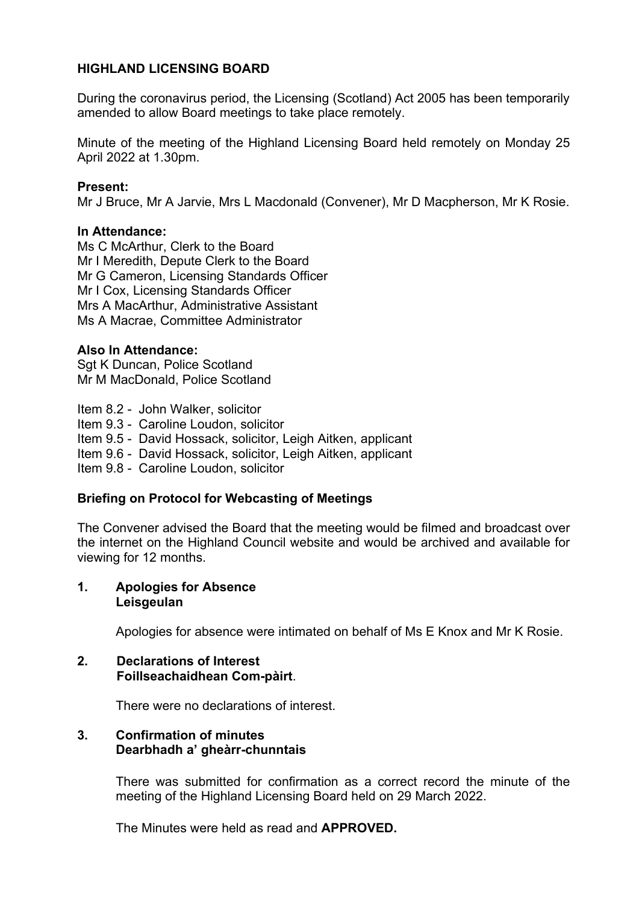# **HIGHLAND LICENSING BOARD**

During the coronavirus period, the Licensing (Scotland) Act 2005 has been temporarily amended to allow Board meetings to take place remotely.

Minute of the meeting of the Highland Licensing Board held remotely on Monday 25 April 2022 at 1.30pm.

## **Present:**

Mr J Bruce, Mr A Jarvie, Mrs L Macdonald (Convener), Mr D Macpherson, Mr K Rosie.

### **In Attendance:**

Ms C McArthur, Clerk to the Board Mr I Meredith, Depute Clerk to the Board Mr G Cameron, Licensing Standards Officer Mr I Cox, Licensing Standards Officer Mrs A MacArthur, Administrative Assistant Ms A Macrae, Committee Administrator

## **Also In Attendance:**

Sgt K Duncan, Police Scotland Mr M MacDonald, Police Scotland

Item 8.2 - John Walker, solicitor Item 9.3 - Caroline Loudon, solicitor Item 9.5 - David Hossack, solicitor, Leigh Aitken, applicant Item 9.6 - David Hossack, solicitor, Leigh Aitken, applicant Item 9.8 - Caroline Loudon, solicitor

## **Briefing on Protocol for Webcasting of Meetings**

The Convener advised the Board that the meeting would be filmed and broadcast over the internet on the Highland Council website and would be archived and available for viewing for 12 months.

#### **1. Apologies for Absence Leisgeulan**

Apologies for absence were intimated on behalf of Ms E Knox and Mr K Rosie.

#### **2. Declarations of Interest Foillseachaidhean Com-pàirt**.

There were no declarations of interest.

## **3. Confirmation of minutes Dearbhadh a' gheàrr-chunntais**

There was submitted for confirmation as a correct record the minute of the meeting of the Highland Licensing Board held on 29 March 2022.

The Minutes were held as read and **APPROVED.**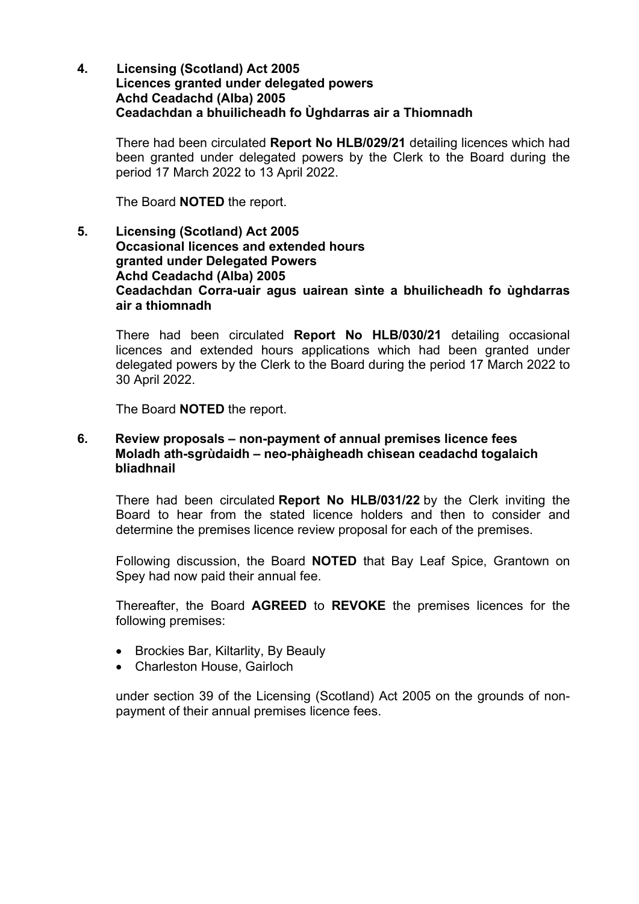**4. Licensing (Scotland) Act 2005 Licences granted under delegated powers Achd Ceadachd (Alba) 2005 Ceadachdan a bhuilicheadh fo Ùghdarras air a Thiomnadh** 

There had been circulated **Report No HLB/029/21** detailing licences which had been granted under delegated powers by the Clerk to the Board during the period 17 March 2022 to 13 April 2022.

The Board **NOTED** the report.

**5. Licensing (Scotland) Act 2005 Occasional licences and extended hours granted under Delegated Powers Achd Ceadachd (Alba) 2005 Ceadachdan Corra-uair agus uairean sìnte a bhuilicheadh fo ùghdarras air a thiomnadh**

There had been circulated **Report No HLB/030/21** detailing occasional licences and extended hours applications which had been granted under delegated powers by the Clerk to the Board during the period 17 March 2022 to 30 April 2022.

The Board **NOTED** the report.

## **6. Review proposals – non-payment of annual premises licence fees Moladh ath-sgrùdaidh – neo-phàigheadh chìsean ceadachd togalaich bliadhnail**

There had been circulated **Report No HLB/031/22** by the Clerk inviting the Board to hear from the stated licence holders and then to consider and determine the premises licence review proposal for each of the premises.

Following discussion, the Board **NOTED** that Bay Leaf Spice, Grantown on Spey had now paid their annual fee.

Thereafter, the Board **AGREED** to **REVOKE** the premises licences for the following premises:

- Brockies Bar, Kiltarlity, By Beauly
- Charleston House, Gairloch

under section 39 of the Licensing (Scotland) Act 2005 on the grounds of nonpayment of their annual premises licence fees.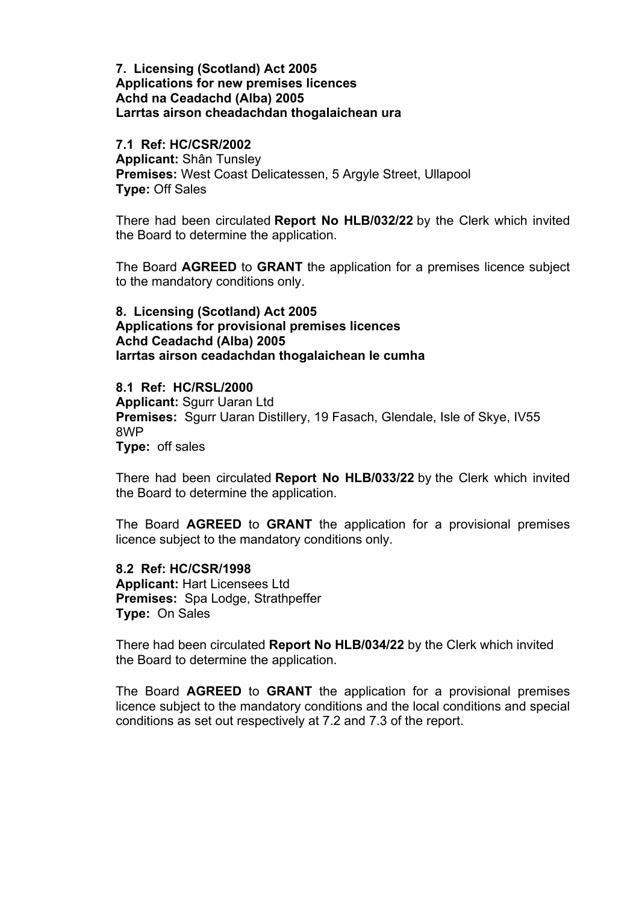### **7. Licensing (Scotland) Act 2005 Applications for new premises licences Achd na Ceadachd (Alba) 2005 Larrtas airson cheadachdan thogalaichean ura**

#### **7.1 Ref: HC/CSR/2002**

**Applicant:** Shân Tunsley **Premises:** West Coast Delicatessen, 5 Argyle Street, Ullapool **Type:** Off Sales

There had been circulated **Report No HLB/032/22** by the Clerk which invited the Board to determine the application.

The Board **AGREED** to **GRANT** the application for a premises licence subject to the mandatory conditions only.

## **8. Licensing (Scotland) Act 2005 Applications for provisional premises licences Achd Ceadachd (Alba) 2005 Iarrtas airson ceadachdan thogalaichean le cumha**

#### **8.1 Ref: HC/RSL/2000**

**Applicant:** Sgurr Uaran Ltd **Premises:** Sgurr Uaran Distillery, 19 Fasach, Glendale, Isle of Skye, IV55 8WP **Type:** off sales

There had been circulated **Report No HLB/033/22** by the Clerk which invited the Board to determine the application.

The Board **AGREED** to **GRANT** the application for a provisional premises licence subject to the mandatory conditions only.

**8.2 Ref: HC/CSR/1998 Applicant:** Hart Licensees Ltd **Premises:** Spa Lodge, Strathpeffer **Type:** On Sales

There had been circulated **Report No HLB/034/22** by the Clerk which invited the Board to determine the application.

The Board **AGREED** to **GRANT** the application for a provisional premises licence subject to the mandatory conditions and the local conditions and special conditions as set out respectively at 7.2 and 7.3 of the report.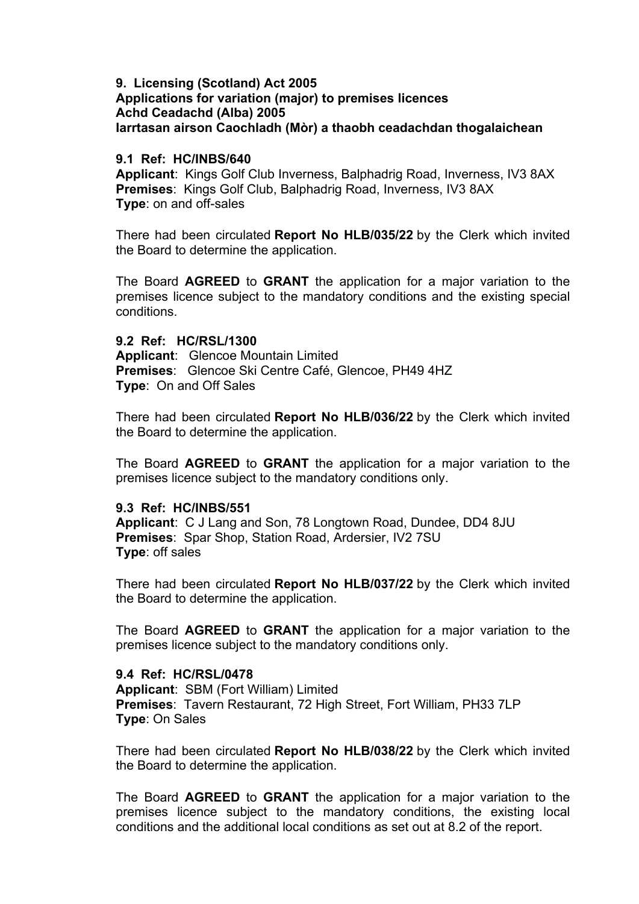### **9. Licensing (Scotland) Act 2005 Applications for variation (major) to premises licences Achd Ceadachd (Alba) 2005 Iarrtasan airson Caochladh (Mòr) a thaobh ceadachdan thogalaichean**

### **9.1 Ref: HC/INBS/640**

**Applicant**: Kings Golf Club Inverness, Balphadrig Road, Inverness, IV3 8AX **Premises**: Kings Golf Club, Balphadrig Road, Inverness, IV3 8AX **Type**: on and off-sales

There had been circulated **Report No HLB/035/22** by the Clerk which invited the Board to determine the application.

The Board **AGREED** to **GRANT** the application for a major variation to the premises licence subject to the mandatory conditions and the existing special conditions.

### **9.2 Ref: HC/RSL/1300**

**Applicant**: Glencoe Mountain Limited **Premises**: Glencoe Ski Centre Café, Glencoe, PH49 4HZ **Type**: On and Off Sales

There had been circulated **Report No HLB/036/22** by the Clerk which invited the Board to determine the application.

The Board **AGREED** to **GRANT** the application for a major variation to the premises licence subject to the mandatory conditions only.

### **9.3 Ref: HC/INBS/551**

**Applicant**: C J Lang and Son, 78 Longtown Road, Dundee, DD4 8JU **Premises**: Spar Shop, Station Road, Ardersier, IV2 7SU **Type**: off sales

There had been circulated **Report No HLB/037/22** by the Clerk which invited the Board to determine the application.

The Board **AGREED** to **GRANT** the application for a major variation to the premises licence subject to the mandatory conditions only.

### **9.4 Ref: HC/RSL/0478**

**Applicant**: SBM (Fort William) Limited **Premises**: Tavern Restaurant, 72 High Street, Fort William, PH33 7LP **Type**: On Sales

There had been circulated **Report No HLB/038/22** by the Clerk which invited the Board to determine the application.

The Board **AGREED** to **GRANT** the application for a major variation to the premises licence subject to the mandatory conditions, the existing local conditions and the additional local conditions as set out at 8.2 of the report.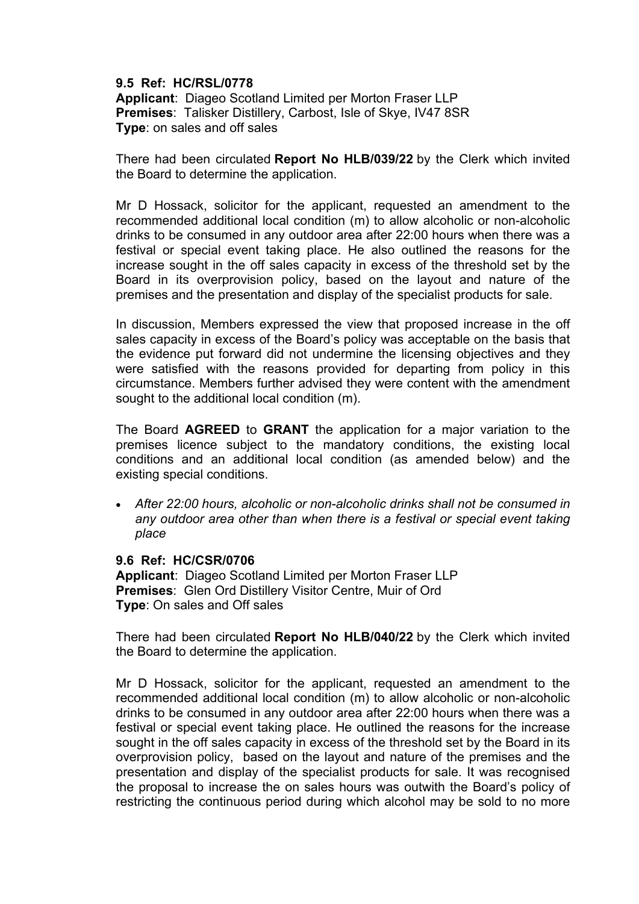### **9.5 Ref: HC/RSL/0778**

**Applicant**: Diageo Scotland Limited per Morton Fraser LLP **Premises**: Talisker Distillery, Carbost, Isle of Skye, IV47 8SR **Type**: on sales and off sales

There had been circulated **Report No HLB/039/22** by the Clerk which invited the Board to determine the application.

Mr D Hossack, solicitor for the applicant, requested an amendment to the recommended additional local condition (m) to allow alcoholic or non-alcoholic drinks to be consumed in any outdoor area after 22:00 hours when there was a festival or special event taking place. He also outlined the reasons for the increase sought in the off sales capacity in excess of the threshold set by the Board in its overprovision policy, based on the layout and nature of the premises and the presentation and display of the specialist products for sale.

In discussion. Members expressed the view that proposed increase in the off sales capacity in excess of the Board's policy was acceptable on the basis that the evidence put forward did not undermine the licensing objectives and they were satisfied with the reasons provided for departing from policy in this circumstance. Members further advised they were content with the amendment sought to the additional local condition (m).

The Board **AGREED** to **GRANT** the application for a major variation to the premises licence subject to the mandatory conditions, the existing local conditions and an additional local condition (as amended below) and the existing special conditions.

• *After 22:00 hours, alcoholic or non-alcoholic drinks shall not be consumed in any outdoor area other than when there is a festival or special event taking place*

### **9.6 Ref: HC/CSR/0706**

**Applicant**: Diageo Scotland Limited per Morton Fraser LLP **Premises**: Glen Ord Distillery Visitor Centre, Muir of Ord **Type**: On sales and Off sales

There had been circulated **Report No HLB/040/22** by the Clerk which invited the Board to determine the application.

Mr D Hossack, solicitor for the applicant, requested an amendment to the recommended additional local condition (m) to allow alcoholic or non-alcoholic drinks to be consumed in any outdoor area after 22:00 hours when there was a festival or special event taking place. He outlined the reasons for the increase sought in the off sales capacity in excess of the threshold set by the Board in its overprovision policy, based on the layout and nature of the premises and the presentation and display of the specialist products for sale. It was recognised the proposal to increase the on sales hours was outwith the Board's policy of restricting the continuous period during which alcohol may be sold to no more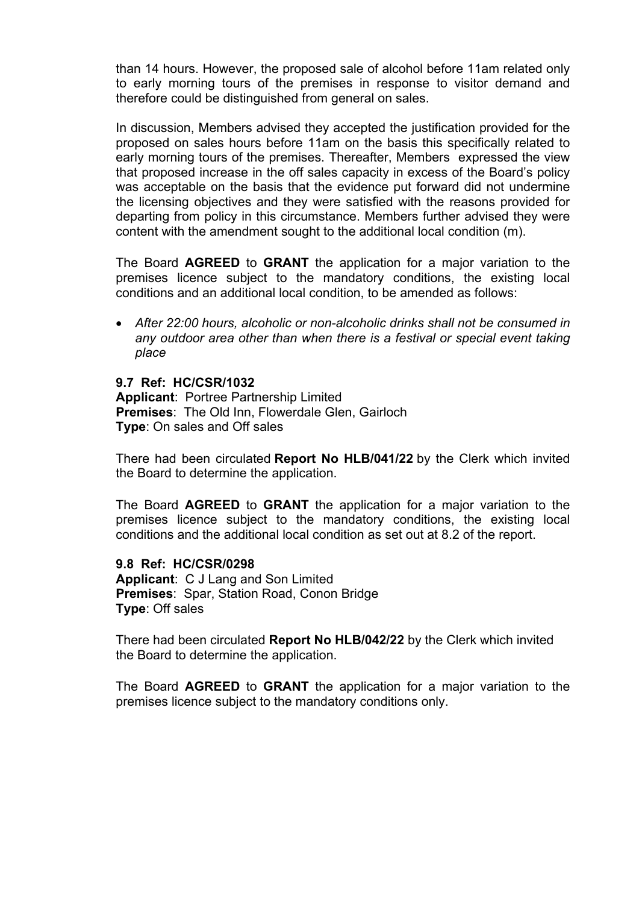than 14 hours. However, the proposed sale of alcohol before 11am related only to early morning tours of the premises in response to visitor demand and therefore could be distinguished from general on sales.

In discussion, Members advised they accepted the justification provided for the proposed on sales hours before 11am on the basis this specifically related to early morning tours of the premises. Thereafter, Members expressed the view that proposed increase in the off sales capacity in excess of the Board's policy was acceptable on the basis that the evidence put forward did not undermine the licensing objectives and they were satisfied with the reasons provided for departing from policy in this circumstance. Members further advised they were content with the amendment sought to the additional local condition (m).

The Board **AGREED** to **GRANT** the application for a major variation to the premises licence subject to the mandatory conditions, the existing local conditions and an additional local condition, to be amended as follows:

• *After 22:00 hours, alcoholic or non-alcoholic drinks shall not be consumed in any outdoor area other than when there is a festival or special event taking place*

### **9.7 Ref: HC/CSR/1032**

**Applicant**: Portree Partnership Limited **Premises**: The Old Inn, Flowerdale Glen, Gairloch **Type**: On sales and Off sales

There had been circulated **Report No HLB/041/22** by the Clerk which invited the Board to determine the application.

The Board **AGREED** to **GRANT** the application for a major variation to the premises licence subject to the mandatory conditions, the existing local conditions and the additional local condition as set out at 8.2 of the report.

#### **9.8 Ref: HC/CSR/0298**

**Applicant**: C J Lang and Son Limited **Premises**: Spar, Station Road, Conon Bridge **Type**: Off sales

There had been circulated **Report No HLB/042/22** by the Clerk which invited the Board to determine the application.

The Board **AGREED** to **GRANT** the application for a major variation to the premises licence subject to the mandatory conditions only.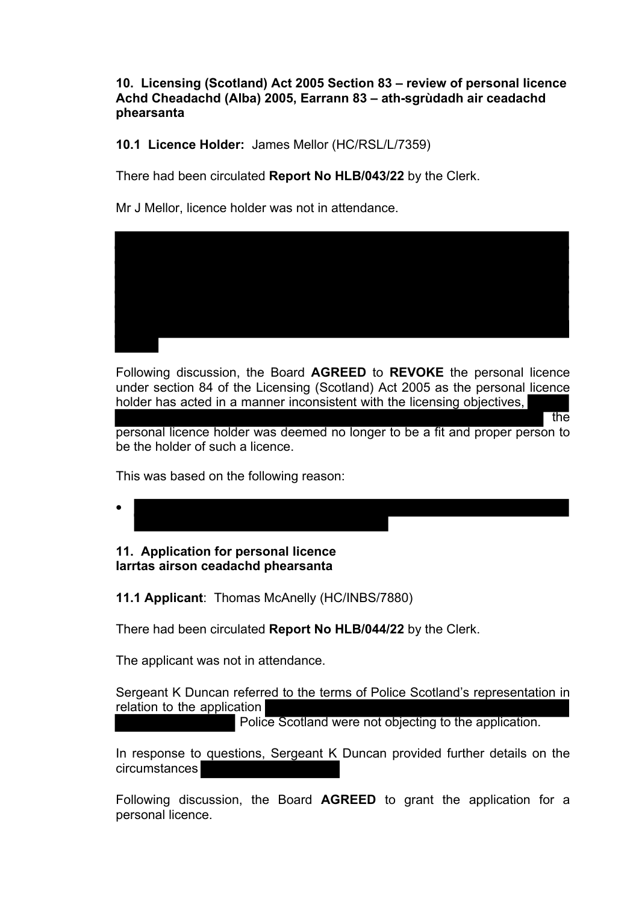**10. Licensing (Scotland) Act 2005 Section 83 – review of personal licence Achd Cheadachd (Alba) 2005, Earrann 83 – ath-sgrùdadh air ceadachd phearsanta**

**10.1 Licence Holder:** James Mellor (HC/RSL/L/7359)

There had been circulated **Report No HLB/043/22** by the Clerk.

Mr J Mellor, licence holder was not in attendance.



Following discussion, the Board **AGREED** to **REVOKE** the personal licence under section 84 of the Licensing (Scotland) Act 2005 as the personal licence holder has acted in a manner inconsistent with the licensing objectives,

personal licence holder was deemed no longer to be a fit and proper person to be the holder of such a licence.

the

This was based on the following reason:

•

## **11. Application for personal licence Iarrtas airson ceadachd phearsanta**

**11.1 Applicant**: Thomas McAnelly (HC/INBS/7880)

There had been circulated **Report No HLB/044/22** by the Clerk.

The applicant was not in attendance.

Sergeant K Duncan referred to the terms of Police Scotland's representation in relation to the application

Police Scotland were not objecting to the application.

In response to questions, Sergeant K Duncan provided further details on the circumstances

Following discussion, the Board **AGREED** to grant the application for a personal licence.